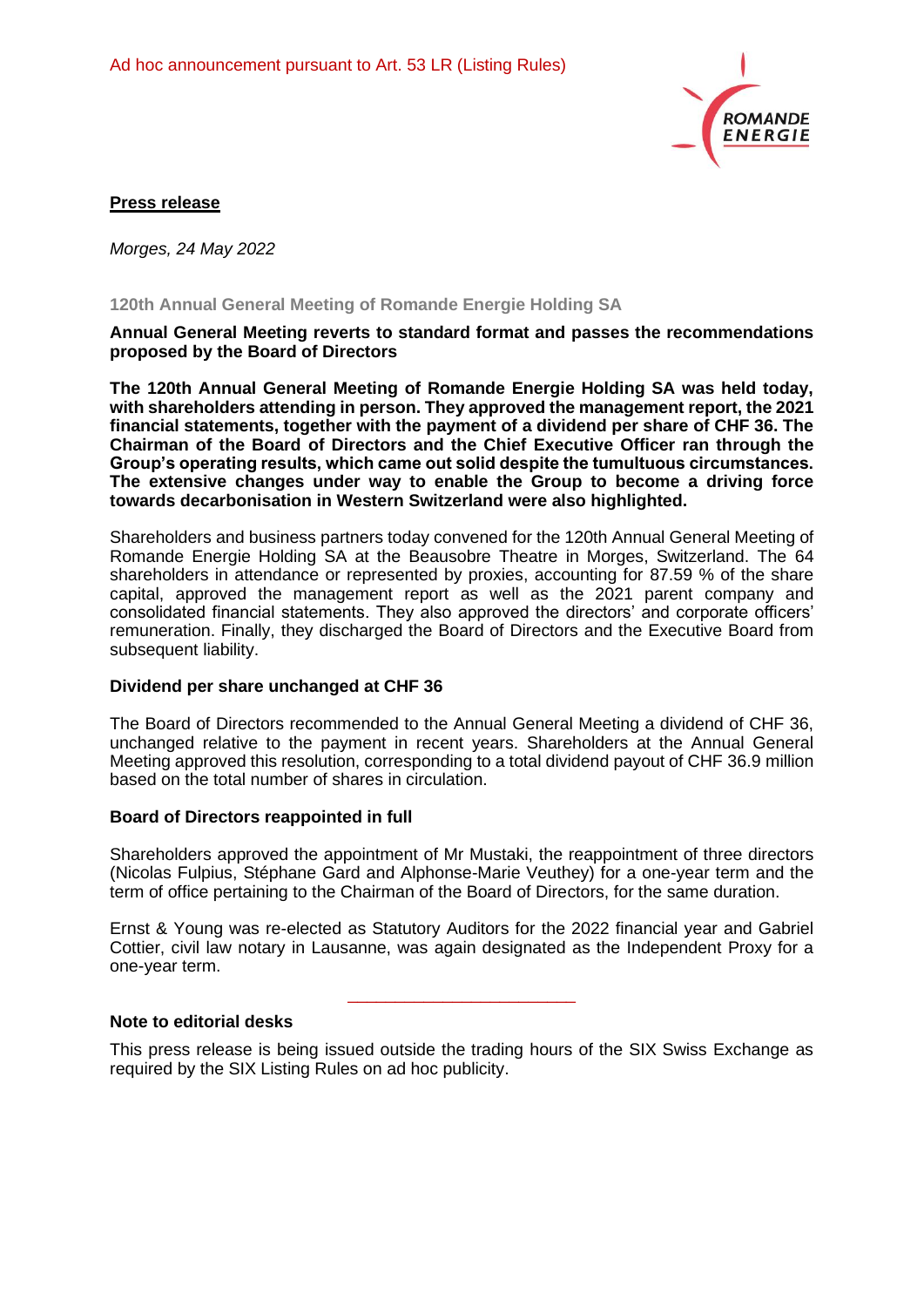

## **Press release**

*Morges, 24 May 2022*

### **120th Annual General Meeting of Romande Energie Holding SA**

#### **Annual General Meeting reverts to standard format and passes the recommendations proposed by the Board of Directors**

**The 120th Annual General Meeting of Romande Energie Holding SA was held today, with shareholders attending in person. They approved the management report, the 2021 financial statements, together with the payment of a dividend per share of CHF 36. The Chairman of the Board of Directors and the Chief Executive Officer ran through the Group's operating results, which came out solid despite the tumultuous circumstances. The extensive changes under way to enable the Group to become a driving force towards decarbonisation in Western Switzerland were also highlighted.** 

Shareholders and business partners today convened for the 120th Annual General Meeting of Romande Energie Holding SA at the Beausobre Theatre in Morges, Switzerland. The 64 shareholders in attendance or represented by proxies, accounting for 87.59 % of the share capital, approved the management report as well as the 2021 parent company and consolidated financial statements. They also approved the directors' and corporate officers' remuneration. Finally, they discharged the Board of Directors and the Executive Board from subsequent liability.

#### **Dividend per share unchanged at CHF 36**

The Board of Directors recommended to the Annual General Meeting a dividend of CHF 36, unchanged relative to the payment in recent years. Shareholders at the Annual General Meeting approved this resolution, corresponding to a total dividend payout of CHF 36.9 million based on the total number of shares in circulation.

#### **Board of Directors reappointed in full**

Shareholders approved the appointment of Mr Mustaki, the reappointment of three directors (Nicolas Fulpius, Stéphane Gard and Alphonse-Marie Veuthey) for a one-year term and the term of office pertaining to the Chairman of the Board of Directors, for the same duration.

Ernst & Young was re-elected as Statutory Auditors for the 2022 financial year and Gabriel Cottier, civil law notary in Lausanne, was again designated as the Independent Proxy for a one-year term.

\_\_\_\_\_\_\_\_\_\_\_\_\_\_\_\_\_\_\_\_\_\_\_\_

## **Note to editorial desks**

This press release is being issued outside the trading hours of the SIX Swiss Exchange as required by the SIX Listing Rules on ad hoc publicity.